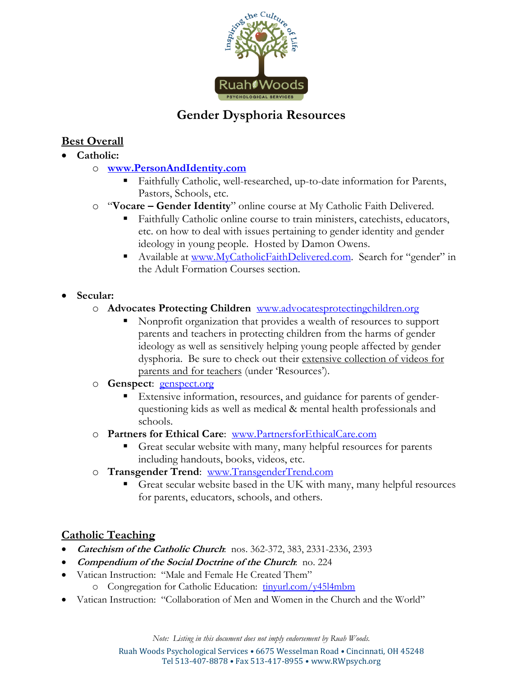

# **Gender Dysphoria Resources**

# **Best Overall**

- **Catholic:** 
	- o **www.PersonAndIdentity.com**
		- Faithfully Catholic, well-researched, up-to-date information for Parents, Pastors, Schools, etc.
	- o "**Vocare Gender Identity**" online course at My Catholic Faith Delivered.
		- Faithfully Catholic online course to train ministers, catechists, educators, etc. on how to deal with issues pertaining to gender identity and gender ideology in young people. Hosted by Damon Owens.
		- Available at www.MyCatholicFaithDelivered.com. Search for "gender" in the Adult Formation Courses section.
- **Secular:** 
	- o **Advocates Protecting Children** www.advocatesprotectingchildren.org
		- Nonprofit organization that provides a wealth of resources to support parents and teachers in protecting children from the harms of gender ideology as well as sensitively helping young people affected by gender dysphoria. Be sure to check out their extensive collection of videos for parents and for teachers (under 'Resources').
	- o **Genspect**: genspect.org
		- Extensive information, resources, and guidance for parents of genderquestioning kids as well as medical & mental health professionals and schools.
	- o **Partners for Ethical Care**: www.PartnersforEthicalCare.com
		- Great secular website with many, many helpful resources for parents including handouts, books, videos, etc.
	- o **Transgender Trend**: www.TransgenderTrend.com
		- Great secular website based in the UK with many, many helpful resources for parents, educators, schools, and others.

## **Catholic Teaching**

- **Catechism of the Catholic Church**: nos. 362-372, 383, 2331-2336, 2393
- **Compendium of the Social Doctrine of the Church**: no. 224
- Vatican Instruction: "Male and Female He Created Them" o Congregation for Catholic Education: tinyurl.com/y45l4mbm
- Vatican Instruction: "Collaboration of Men and Women in the Church and the World"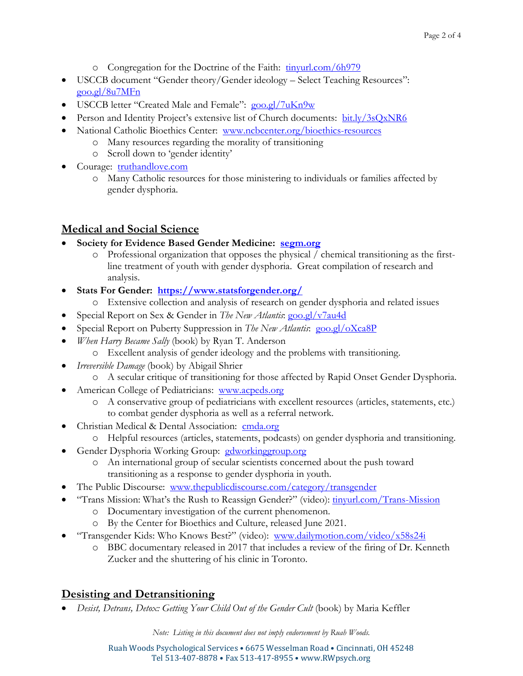- o Congregation for the Doctrine of the Faith: tinyurl.com/6h979
- USCCB document "Gender theory/Gender ideology Select Teaching Resources": goo.gl/8u7MFn
- USCCB letter "Created Male and Female": goo.gl/7uKn9w
- Person and Identity Project's extensive list of Church documents: bit.ly/3sQxNR6
- National Catholic Bioethics Center: www.ncbcenter.org/bioethics-resources
	- o Many resources regarding the morality of transitioning
	- o Scroll down to 'gender identity'
- Courage: truthandlove.com
	- o Many Catholic resources for those ministering to individuals or families affected by gender dysphoria.

#### **Medical and Social Science**

- **Society for Evidence Based Gender Medicine: segm.org**
	- o Professional organization that opposes the physical / chemical transitioning as the firstline treatment of youth with gender dysphoria. Great compilation of research and analysis.
- **Stats For Gender: https://www.statsforgender.org/**
	- o Extensive collection and analysis of research on gender dysphoria and related issues
- Special Report on Sex & Gender in *The New Atlantis*: goo.gl/v7au4d
- Special Report on Puberty Suppression in *The New Atlantis*: goo.gl/oXca8P
- *When Harry Became Sally* (book) by Ryan T. Anderson
	- o Excellent analysis of gender ideology and the problems with transitioning.
- *Irreversible Damage* (book) by Abigail Shrier
	- o A secular critique of transitioning for those affected by Rapid Onset Gender Dysphoria.
- American College of Pediatricians: www.acpeds.org
	- o A conservative group of pediatricians with excellent resources (articles, statements, etc.) to combat gender dysphoria as well as a referral network.
- Christian Medical & Dental Association: cmda.org
	- o Helpful resources (articles, statements, podcasts) on gender dysphoria and transitioning.
- Gender Dysphoria Working Group: gdworkinggroup.org
	- o An international group of secular scientists concerned about the push toward transitioning as a response to gender dysphoria in youth.
- The Public Discourse: www.thepublicdiscourse.com/category/transgender
- "Trans Mission: What's the Rush to Reassign Gender?" (video):  $\frac{1}{2}$  tinyurl.com/Trans-Mission
	- o Documentary investigation of the current phenomenon.
	- o By the Center for Bioethics and Culture, released June 2021.
- "Transgender Kids: Who Knows Best?" (video): www.dailymotion.com/video/x58s24i
	- o BBC documentary released in 2017 that includes a review of the firing of Dr. Kenneth Zucker and the shuttering of his clinic in Toronto.

#### **Desisting and Detransitioning**

*Desist, Detrans, Detox: Getting Your Child Out of the Gender Cult* (book) by Maria Keffler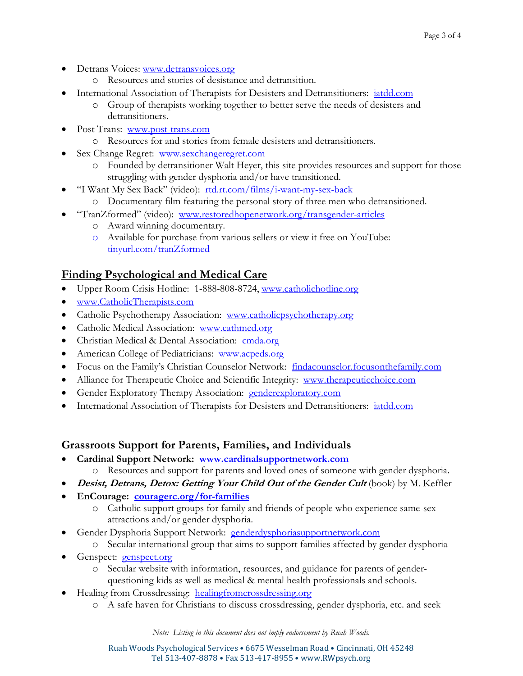- Detrans Voices: www.detransvoices.org
	- o Resources and stories of desistance and detransition.
- International Association of Therapists for Desisters and Detransitioners: iatdd.com
	- o Group of therapists working together to better serve the needs of desisters and detransitioners.
- Post Trans: www.post-trans.com
	- o Resources for and stories from female desisters and detransitioners.
- Sex Change Regret: www.sexchangeregret.com
	- o Founded by detransitioner Walt Heyer, this site provides resources and support for those struggling with gender dysphoria and/or have transitioned.
- "I Want My Sex Back" (video): rtd.rt.com/films/i-want-my-sex-back
	- o Documentary film featuring the personal story of three men who detransitioned.
- "TranZformed" (video): www.restoredhopenetwork.org/transgender-articles
	- o Award winning documentary.
	- o Available for purchase from various sellers or view it free on YouTube: tinyurl.com/tranZformed

### **Finding Psychological and Medical Care**

- Upper Room Crisis Hotline: 1-888-808-8724, www.catholichotline.org
- www.CatholicTherapists.com
- Catholic Psychotherapy Association: www.catholicpsychotherapy.org
- Catholic Medical Association: www.cathmed.org
- Christian Medical & Dental Association: cmda.org
- American College of Pediatricians: www.acpeds.org
- Focus on the Family's Christian Counselor Network: findacounselor.focusonthefamily.com
- Alliance for Therapeutic Choice and Scientific Integrity: www.therapeuticchoice.com
- Gender Exploratory Therapy Association: genderexploratory.com
- **International Association of Therapists for Desisters and Detransitioners:** *iatdd.com*

### **Grassroots Support for Parents, Families, and Individuals**

- **Cardinal Support Network: www.cardinalsupportnetwork.com** 
	- o Resources and support for parents and loved ones of someone with gender dysphoria.
- **•** Desist, Detrans, Detox: Getting Your Child Out of the Gender Cult (book) by M. Keffler
- **EnCourage: couragerc.org/for-families** 
	- o Catholic support groups for family and friends of people who experience same-sex attractions and/or gender dysphoria.
- Gender Dysphoria Support Network: genderdysphoriasupportnetwork.com
	- o Secular international group that aims to support families affected by gender dysphoria
- Genspect: genspect.org
	- o Secular website with information, resources, and guidance for parents of genderquestioning kids as well as medical & mental health professionals and schools.
- Healing from Crossdressing: healingfromcrossdressing.org
	- o A safe haven for Christians to discuss crossdressing, gender dysphoria, etc. and seek